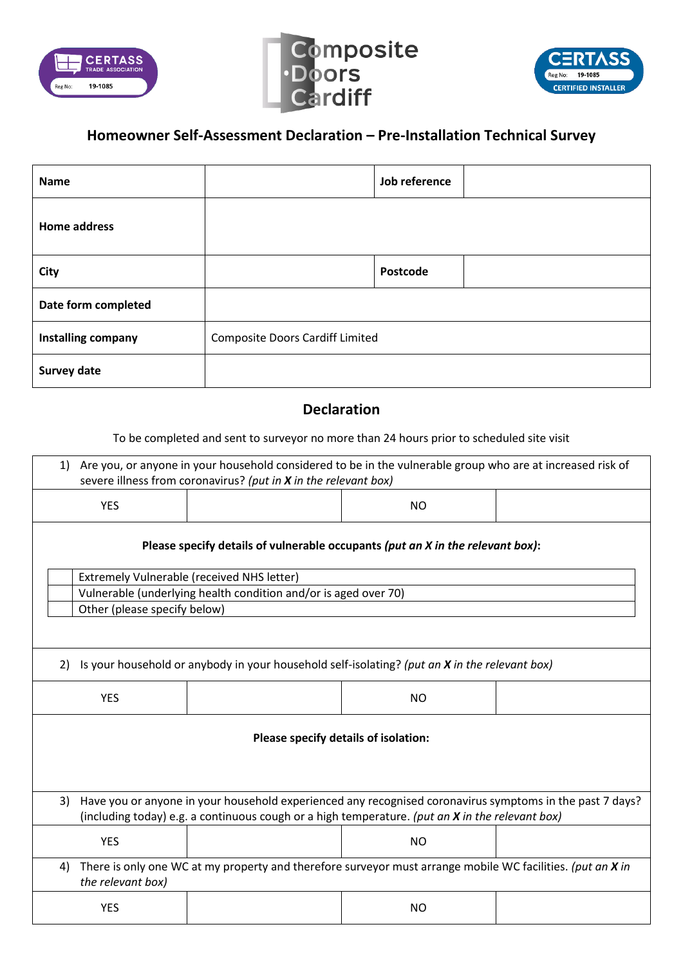





## **Homeowner Self-Assessment Declaration – Pre-Installation Technical Survey**

| Name                |                                        | Job reference |  |
|---------------------|----------------------------------------|---------------|--|
| <b>Home address</b> |                                        |               |  |
| <b>City</b>         |                                        | Postcode      |  |
| Date form completed |                                        |               |  |
| Installing company  | <b>Composite Doors Cardiff Limited</b> |               |  |
| <b>Survey date</b>  |                                        |               |  |

## **Declaration**

To be completed and sent to surveyor no more than 24 hours prior to scheduled site visit

| Are you, or anyone in your household considered to be in the vulnerable group who are at increased risk of<br>1)<br>severe illness from coronavirus? (put in X in the relevant box)                               |                                                                 |                |  |  |  |  |
|-------------------------------------------------------------------------------------------------------------------------------------------------------------------------------------------------------------------|-----------------------------------------------------------------|----------------|--|--|--|--|
| <b>YES</b>                                                                                                                                                                                                        |                                                                 | <b>NO</b>      |  |  |  |  |
| Please specify details of vulnerable occupants (put an X in the relevant box):                                                                                                                                    |                                                                 |                |  |  |  |  |
|                                                                                                                                                                                                                   | <b>Extremely Vulnerable (received NHS letter)</b>               |                |  |  |  |  |
|                                                                                                                                                                                                                   | Vulnerable (underlying health condition and/or is aged over 70) |                |  |  |  |  |
| Other (please specify below)                                                                                                                                                                                      |                                                                 |                |  |  |  |  |
|                                                                                                                                                                                                                   |                                                                 |                |  |  |  |  |
| Is your household or anybody in your household self-isolating? (put an X in the relevant box)<br>2)                                                                                                               |                                                                 |                |  |  |  |  |
| <b>YES</b>                                                                                                                                                                                                        |                                                                 | <b>NO</b>      |  |  |  |  |
| Please specify details of isolation:                                                                                                                                                                              |                                                                 |                |  |  |  |  |
| Have you or anyone in your household experienced any recognised coronavirus symptoms in the past 7 days?<br>3)<br>(including today) e.g. a continuous cough or a high temperature. (put an X in the relevant box) |                                                                 |                |  |  |  |  |
| <b>YES</b>                                                                                                                                                                                                        |                                                                 | <b>NO</b>      |  |  |  |  |
| There is only one WC at my property and therefore surveyor must arrange mobile WC facilities. (put an X in<br>4)<br>the relevant box)                                                                             |                                                                 |                |  |  |  |  |
| <b>YES</b>                                                                                                                                                                                                        |                                                                 | N <sub>O</sub> |  |  |  |  |